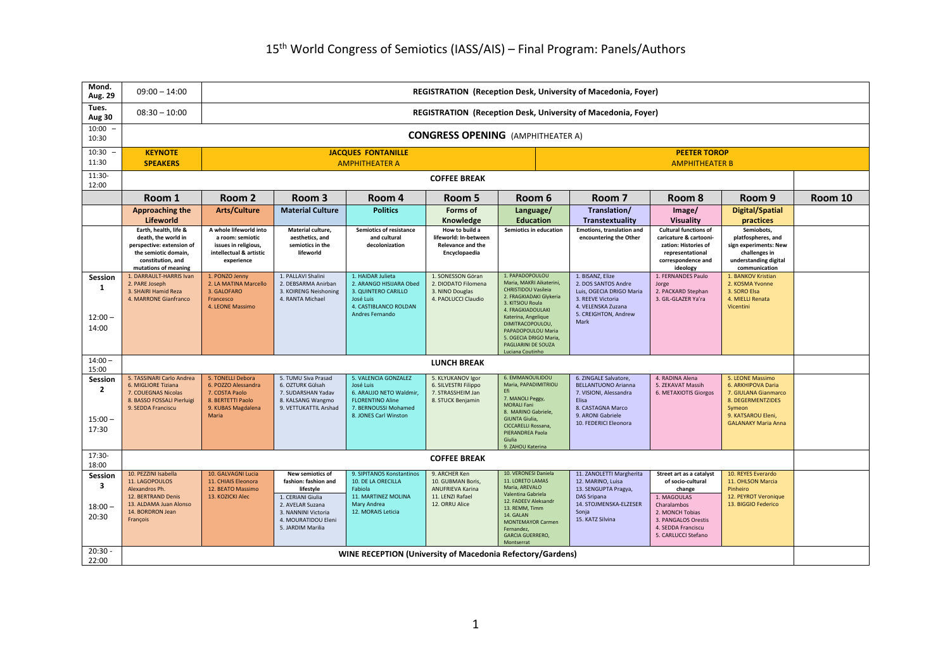| Mond.<br>Aug. 29                              | $09:00 - 14:00$                                                                                                                                | <b>REGISTRATION (Reception Desk, University of Macedonia, Foyer)</b>                                           |                                                                                                                                                                   |                                                                                                                                         |                                                                                                     |                                                                                                                                                                                                                                                                              |                                                                                                                                                           |                                                                                                                                                                              |                                                                                                                                                   |         |  |
|-----------------------------------------------|------------------------------------------------------------------------------------------------------------------------------------------------|----------------------------------------------------------------------------------------------------------------|-------------------------------------------------------------------------------------------------------------------------------------------------------------------|-----------------------------------------------------------------------------------------------------------------------------------------|-----------------------------------------------------------------------------------------------------|------------------------------------------------------------------------------------------------------------------------------------------------------------------------------------------------------------------------------------------------------------------------------|-----------------------------------------------------------------------------------------------------------------------------------------------------------|------------------------------------------------------------------------------------------------------------------------------------------------------------------------------|---------------------------------------------------------------------------------------------------------------------------------------------------|---------|--|
| Tues.<br>Aug 30                               | $08:30 - 10:00$                                                                                                                                |                                                                                                                | REGISTRATION (Reception Desk, University of Macedonia, Foyer)                                                                                                     |                                                                                                                                         |                                                                                                     |                                                                                                                                                                                                                                                                              |                                                                                                                                                           |                                                                                                                                                                              |                                                                                                                                                   |         |  |
| 10:00<br>10:30                                |                                                                                                                                                | <b>CONGRESS OPENING</b> (AMPHITHEATER A)                                                                       |                                                                                                                                                                   |                                                                                                                                         |                                                                                                     |                                                                                                                                                                                                                                                                              |                                                                                                                                                           |                                                                                                                                                                              |                                                                                                                                                   |         |  |
| 10:30<br>11:30                                | <b>KEYNOTE</b><br><b>SPEAKERS</b>                                                                                                              |                                                                                                                | <b>JACQUES FONTANILLE</b><br><b>PEETER TOROP</b><br><b>AMPHITHEATER A</b><br><b>AMPHITHEATER B</b>                                                                |                                                                                                                                         |                                                                                                     |                                                                                                                                                                                                                                                                              |                                                                                                                                                           |                                                                                                                                                                              |                                                                                                                                                   |         |  |
| 11:30-<br>12:00                               |                                                                                                                                                | <b>COFFEE BREAK</b>                                                                                            |                                                                                                                                                                   |                                                                                                                                         |                                                                                                     |                                                                                                                                                                                                                                                                              |                                                                                                                                                           |                                                                                                                                                                              |                                                                                                                                                   |         |  |
|                                               | Room 1                                                                                                                                         | Room 2                                                                                                         | Room 3                                                                                                                                                            | Room 4                                                                                                                                  | Room 5                                                                                              | Room 6                                                                                                                                                                                                                                                                       | Room 7                                                                                                                                                    | Room 8                                                                                                                                                                       | Room 9                                                                                                                                            | Room 10 |  |
|                                               | Approaching the<br><b>Lifeworld</b>                                                                                                            | <b>Arts/Culture</b>                                                                                            | <b>Material Culture</b>                                                                                                                                           | <b>Politics</b>                                                                                                                         | Forms of<br>Knowledge                                                                               | Language/<br><b>Education</b>                                                                                                                                                                                                                                                | Translation/<br>Transtextuality                                                                                                                           | Image/<br><b>Visuality</b>                                                                                                                                                   | <b>Digital/Spatial</b><br>practices                                                                                                               |         |  |
|                                               | Earth, health, life &<br>death, the world in<br>perspective: extension of<br>the semiotic domain,<br>constitution, and<br>mutations of meaning | A whole lifeworld into<br>a room: semiotic<br>issues in religious,<br>intellectual & artistic<br>experience    | Material culture,<br>aesthetics, and<br>semiotics in the<br>lifeworld                                                                                             | <b>Semiotics of resistance</b><br>and cultural<br>decolonization                                                                        | How to build a<br>lifeworld: In-between<br><b>Relevance and the</b><br>Encyclopaedia                | Semiotics in education                                                                                                                                                                                                                                                       | Emotions, translation and<br>encountering the Other                                                                                                       | <b>Cultural functions of</b><br>caricature & cartooni<br>zation: Histories of<br>representational<br>correspondence and<br>ideology                                          | Semiobots,<br>platfospheres, and<br>sign experiments: New<br>challenges in<br>understanding digital<br>communication                              |         |  |
| Session<br>1<br>$12:00 -$<br>14:00            | 1. DARRAULT-HARRIS Ivan<br>2. PARE Joseph<br>3. SHAIRI Hamid Reza<br>4. MARRONE Gianfranco                                                     | 1. PONZO Jenny<br>2. LA MATINA Marcello<br>3. GALOFARO<br>Francesco<br>4. LEONE Massimo                        | 1. PALLAVI Shalini<br>2. DEBSARMA Anirban<br>3. KOIRENG Neishoning<br>4. RANTA Michael                                                                            | 1. HAIDAR Julieta<br>2. ARANGO HISIJARA Obed<br>3. QUINTERO CARILLO<br>José Luis<br>4. CASTIBLANCO ROLDAN<br>Andres Fernando            | 1. SONESSON Göran<br>2. DIODATO Filomena<br>3. NINO Douglas<br>4. PAOLUCCI Claudio                  | 1. PAPADOPOULOU<br>Maria, MAKRI Aikaterini.<br>CHRISTIDOU Vasileia<br>2. FRAGKIADAKI Glykeria<br>3. KITSIOU Roula<br>4. FRAGKIADOULAKI<br>Katerina, Angelique<br>DIMITRACOPOULOU,<br>PAPADOPOULOU Maria<br>5. OGECIA DRIGO Maria,<br>PAGLIARINI DE SOUZA<br>Luciana Coutinho | 1. BISANZ, Elize<br>2. DOS SANTOS Andre<br>Luis, OGECIA DRIGO Maria<br>3. REEVE Victoria<br>4. VELENSKA Zuzana<br>5. CREIGHTON, Andrew<br>Mark            | 1. FERNANDES Paulo<br>Jorge<br>2. PACKARD Stephan<br>3. GIL-GLAZER Ya'ra                                                                                                     | 1. BANKOV Kristian<br>2. KOSMA Yvonne<br>3. SORO Elsa<br>4. MIELLI Renata<br>Vicentini                                                            |         |  |
| $14:00 -$<br>15:00                            |                                                                                                                                                |                                                                                                                |                                                                                                                                                                   |                                                                                                                                         | <b>LUNCH BREAK</b>                                                                                  |                                                                                                                                                                                                                                                                              |                                                                                                                                                           |                                                                                                                                                                              |                                                                                                                                                   |         |  |
| Session<br>$\mathbf{z}$<br>$15:00 -$<br>17:30 | 5. TASSINARI Carlo Andrea<br>6. MIGLIORE Tiziana<br>7. COUEGNAS Nicolas<br>8. BASSO FOSSALI Pierluigi<br>9. SEDDA Franciscu                    | 5. TONELLI Debora<br>6. POZZO Alessandra<br>7. COSTA Paolo<br>8. BERTETTI Paolo<br>9. KUBAS Magdalena<br>Maria | 5. TUMU Siva Prasad<br>6. OZTURK Gülsah<br>7. SUDARSHAN Yadav<br>8. KALSANG Wangmo<br>9. VETTUKATTIL Arshad                                                       | 5. VALENCIA GONZALEZ<br>José Luis<br>6. ARAUJO NETO Waldmir<br><b>FLORENTINO Aline</b><br>7. BERNOUSSI Mohamed<br>8. JONES Carl Winston | 5. KLYUKANOV Igor<br>6. SILVESTRI Filippo<br>7. STRASSHEIM Jan<br>8. STUCK Benjamin                 | 6. EMMANOUILIDOU<br>Maria, PAPADIMITRIOU<br>Efi<br>7. MANOLI Peggy,<br><b>MORALI Fani</b><br>8. MARINO Gabriele,<br><b>GIUNTA Giulia</b> ,<br>CICCARELLI Rossana,<br>PIERANDREA Paola<br>Giulia<br>9. ZAHOU Katerina                                                         | 6. ZINGALE Salvatore.<br><b>BELLANTUONO Arianna</b><br>7. VISIONI, Alessandra<br>Elisa<br>8. CASTAGNA Marco<br>9. ARONI Gabriele<br>10. FEDERICI Eleonora | 4. RADINA Alena<br>5. ZEKAVAT Massih<br>6. METAXIOTIS Giorgos                                                                                                                | 5. LEONE Massimo<br>6. ARKHIPOVA Daria<br>7. GIULANA Gianmarco<br>8. DEGERMENTZIDES<br>Symeon<br>9. KATSAROU Eleni,<br><b>GALANAKY Maria Anna</b> |         |  |
| 17:30-<br>18:00                               |                                                                                                                                                |                                                                                                                |                                                                                                                                                                   |                                                                                                                                         | <b>COFFEE BREAK</b>                                                                                 |                                                                                                                                                                                                                                                                              |                                                                                                                                                           |                                                                                                                                                                              |                                                                                                                                                   |         |  |
| Session<br>3<br>$18:00 -$<br>20:30            | 10. PEZZINI Isabella<br>11. LAGOPOULOS<br>Alexandros Ph.<br>12. BERTRAND Denis<br>13. ALDAMA Juan Alonso<br>14. BORDRON Jean<br>François       | 10. GALVAGNI Lucia<br>11. CHIAIS Eleonora<br>12. BEATO Massimo<br>13. KOZICKI Alec                             | New semiotics of<br>fashion: fashion and<br>lifestyle<br>1. CERIANI Giulia<br>2. AVELAR Suzana<br>3. NANNINI Victoria<br>4. MOURATIDOU Eleni<br>5. JARDIM Marilia | 9. SIPITANOS Konstantinos<br>10. DE LA ORECILLA<br>Fabiola<br>11. MARTINEZ MOLINA<br>Mary Andrea<br>12. MORAIS Leticia                  | 9. ARCHER Ken<br>10. GUBMAN Boris,<br><b>ANUFRIEVA Karina</b><br>11. LENZI Rafael<br>12. ORRU Alice | 10. VERONESI Daniela<br>11. LORETO LAMAS<br>Maria, AREVALO<br>Valentina Gabriela<br>12. FADEEV Aleksandr<br>13. REMM, Timm<br>14. GALAN<br><b>MONTEMAYOR Carmen</b><br>Fernandez,<br><b>GARCIA GUERRERO,</b><br>Montserrat                                                   | 11. ZANOLETTI Margherita<br>12. MARINO, Luisa<br>13. SENGUPTA Pragya,<br>DAS Sripana<br>14. STOJMENSKA-ELZESER<br>Sonia<br>15. KATZ Silvina               | Street art as a catalyst<br>of socio-cultural<br>change<br>1. MAGOULAS<br>Charalambos<br>2. MONCH Tobias<br>3. PANGALOS Orestis<br>4. SEDDA Franciscu<br>5. CARLUCCI Stefano | 10. REYES Everardo<br>11. OHLSON Marcia<br>Pinheiro<br>12. PEYROT Veronique<br>13. BIGGIO Federico                                                |         |  |
| $20:30 -$<br>22:00                            | WINE RECEPTION (University of Macedonia Refectory/Gardens)                                                                                     |                                                                                                                |                                                                                                                                                                   |                                                                                                                                         |                                                                                                     |                                                                                                                                                                                                                                                                              |                                                                                                                                                           |                                                                                                                                                                              |                                                                                                                                                   |         |  |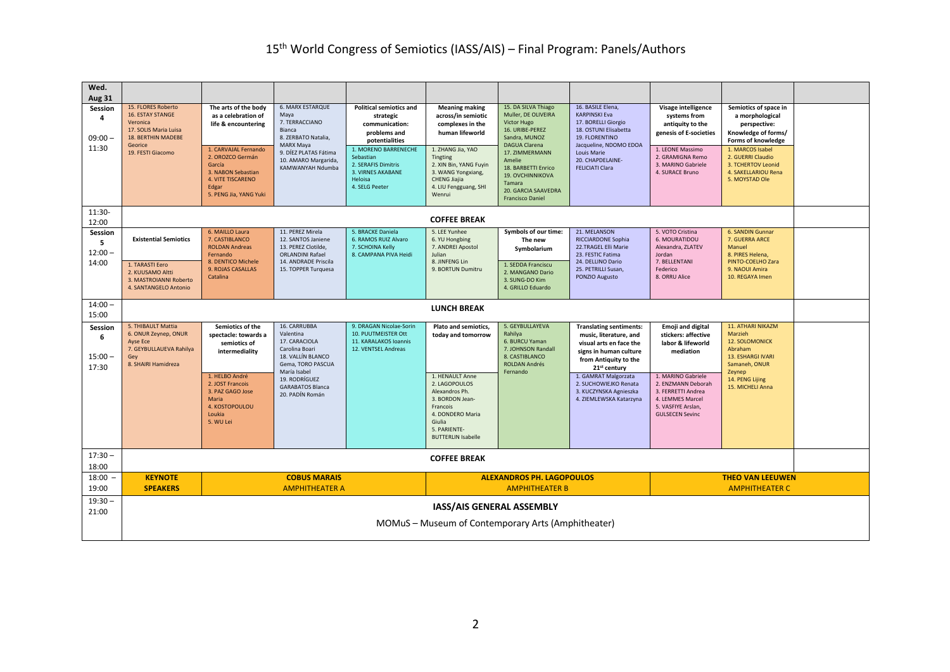| Wed.<br><b>Aug 31</b>              |                                                                                                                                                 |                                                                                                                                                                                        |                                                                                                                                                                                       |                                                                                                                                                                                                               |                                                                                                                                                                                                                     |                                                                                                                                                                                                                      |                                                                                                                                                                                                                                                                          |                                                                                                                                                                                                                         |                                                                                                                                                                                                               |  |  |
|------------------------------------|-------------------------------------------------------------------------------------------------------------------------------------------------|----------------------------------------------------------------------------------------------------------------------------------------------------------------------------------------|---------------------------------------------------------------------------------------------------------------------------------------------------------------------------------------|---------------------------------------------------------------------------------------------------------------------------------------------------------------------------------------------------------------|---------------------------------------------------------------------------------------------------------------------------------------------------------------------------------------------------------------------|----------------------------------------------------------------------------------------------------------------------------------------------------------------------------------------------------------------------|--------------------------------------------------------------------------------------------------------------------------------------------------------------------------------------------------------------------------------------------------------------------------|-------------------------------------------------------------------------------------------------------------------------------------------------------------------------------------------------------------------------|---------------------------------------------------------------------------------------------------------------------------------------------------------------------------------------------------------------|--|--|
| Session<br>4<br>$09:00 -$<br>11:30 | 15. FLORES Roberto<br><b>16. ESTAY STANGE</b><br>Veronica<br>17. SOLIS Maria Luisa<br><b>18. BERTHIN MADEBE</b><br>Georice<br>19. FESTI Giacomo | The arts of the body<br>as a celebration of<br>life & encountering<br>1. CARVAJAL Fernando<br>2. OROZCO Germán<br>García<br>3. NABON Sebastian<br><b>4. VITE TISCARENO</b><br>Edgar    | <b>6. MARX ESTARQUE</b><br>Maya<br>7. TERRACCIANO<br>Bianca<br>8. ZERBATO Natalia,<br><b>MARX Maya</b><br>9. DÍEZ PLATAS Fátima<br>10. AMARO Margarida,<br>KAMWANYAH Ndumba           | <b>Political semiotics and</b><br>strategic<br>communication:<br>problems and<br>potentialities<br>1. MORENO BARRENECHE<br>Sebastian<br>2. SERAFIS Dimitris<br>3. VIRNES AKABANE<br>Heloisa<br>4. SELG Peeter | <b>Meaning making</b><br>across/in semiotic<br>complexes in the<br>human lifeworld<br>1. ZHANG Jia, YAO<br>Tingting<br>2. XIN Bin, YANG Fuyin<br>3. WANG Yongxiang,<br><b>CHENG Jiajia</b><br>4. LIU Fengguang, SHI | 15. DA SILVA Thiago<br>Muller, DE OLIVEIRA<br><b>Victor Hugo</b><br>16. URIBE-PEREZ<br>Sandra, MUNOZ<br><b>DAGUA Clarena</b><br>17. ZIMMERMANN<br>Amelie<br>18. BARBETTI Enrico<br><b>19. OVCHINNIKOVA</b><br>Tamara | 16. BASILE Elena.<br><b>KARPINSKI Eva</b><br>17. BORELLI Giorgio<br>18. OSTUNI Elisabetta<br>19. FLORENTINO<br>Jacqueline, NDOMO EDOA<br>Louis Marie<br>20. CHAPDELAINE-<br><b>FELICIATI Clara</b>                                                                       | Visage intelligence<br>systems from<br>antiquity to the<br>genesis of E-societies<br>1. LEONE Massimo<br>2. GRAMIGNA Remo<br>3. MARINO Gabriele<br>4. SURACE Bruno                                                      | Semiotics of space in<br>a morphological<br>perspective:<br>Knowledge of forms/<br>Forms of knowledge<br>1. MARCOS Isabel<br>2. GUERRI Claudio<br>3. TCHERTOV Leonid<br>4. SAKELLARIOU Rena<br>5. MOYSTAD Ole |  |  |
|                                    |                                                                                                                                                 | 5. PENG Jia, YANG Yuki                                                                                                                                                                 |                                                                                                                                                                                       |                                                                                                                                                                                                               | Wenrui                                                                                                                                                                                                              | 20. GARCIA SAAVEDRA<br><b>Francisco Daniel</b>                                                                                                                                                                       |                                                                                                                                                                                                                                                                          |                                                                                                                                                                                                                         |                                                                                                                                                                                                               |  |  |
| 11:30-<br>12:00                    | <b>COFFEE BREAK</b>                                                                                                                             |                                                                                                                                                                                        |                                                                                                                                                                                       |                                                                                                                                                                                                               |                                                                                                                                                                                                                     |                                                                                                                                                                                                                      |                                                                                                                                                                                                                                                                          |                                                                                                                                                                                                                         |                                                                                                                                                                                                               |  |  |
| Session<br>5<br>$12:00 -$<br>14:00 | <b>Existential Semiotics</b><br>1. TARASTI Eero<br>2. KUUSAMO Altti<br>3. MASTROIANNI Roberto<br>4. SANTANGELO Antonio                          | 6. MAILLO Laura<br>7. CASTIBLANCO<br><b>ROLDAN Andreas</b><br>Fernando<br>8. DENTICO Michele<br>9. ROJAS CASALLAS<br>Catalina                                                          | 11. PEREZ Mirela<br>12. SANTOS Janiene<br>13. PEREZ Clotilde,<br><b>ORLANDINI Rafael</b><br>14. ANDRADE Priscila<br>15. TOPPER Turquesa                                               | 5. BRACKE Daniela<br>6. RAMOS RUIZ Alvaro<br>7. SCHOINA Kelly<br>8. CAMPANA PIVA Heidi                                                                                                                        | 5. LEE Yunhee<br>6. YU Hongbing<br>7. ANDREI Apostol<br>Julian<br>8. JINFENG Lin<br>9. BORTUN Dumitru                                                                                                               | Symbols of our time:<br>The new<br>Symbolarium<br>1. SEDDA Franciscu<br>2. MANGANO Dario<br>3. SUNG-DO Kim<br>4. GRILLO Eduardo                                                                                      | 21. MELANSON<br><b>RICCIARDONE Sophia</b><br>22.TRAGEL Elli Marie<br>23. FESTIC Fatima<br>24. DELLINO Dario<br>25. PETRILLI Susan,<br>PONZIO Augusto                                                                                                                     | 5. VOTO Cristina<br>6. MOURATIDOU<br>Alexandra, ZLATEV<br>Jordan<br>7. BELLENTANI<br>Federico<br>8. ORRU Alice                                                                                                          | 6. SANDIN Gunnar<br>7. GUERRA ARCE<br>Manuel<br>8. PIRES Helena,<br>PINTO-COELHO Zara<br>9. NAOUI Amira<br>10. REGAYA Imen                                                                                    |  |  |
| $14:00 -$<br>15:00                 |                                                                                                                                                 |                                                                                                                                                                                        |                                                                                                                                                                                       |                                                                                                                                                                                                               | <b>LUNCH BREAK</b>                                                                                                                                                                                                  |                                                                                                                                                                                                                      |                                                                                                                                                                                                                                                                          |                                                                                                                                                                                                                         |                                                                                                                                                                                                               |  |  |
| Session<br>6<br>$15:00 -$<br>17:30 | 5. THIBAULT Mattia<br>6. ONUR Zeynep, ONUR<br><b>Ayse Ece</b><br>7. GEYBULLAUEVA Rahilya<br>Gey<br>8. SHAIRI Hamidreza                          | Semiotics of the<br>spectacle: towards a<br>semiotics of<br>intermediality<br>1. HELBO André<br>2. JOST Francois<br>3. PAZ GAGO Jose<br>Maria<br>4. KOSTOPOULOU<br>Loukia<br>5. WU Lei | 16. CARRUBBA<br>Valentina<br>17. CARACIOLA<br>Carolina Boari<br>18. VALLÍN BLANCO<br>Gema, TORO PASCUA<br>María Isabel<br>19. RODRÍGUEZ<br><b>GARABATOS Blanca</b><br>20. PADÍN Román | 9. DRAGAN Nicolae-Sorin<br>10. PUUTMEISTER Ott<br>11. KARALAKOS Ioannis<br>12. VENTSEL Andreas                                                                                                                | Plato and semiotics,<br>today and tomorrow<br>1. HENAULT Anne<br>2. LAGOPOULOS<br>Alexandros Ph.<br>3. BORDON Jean-<br>Francois<br>4. DONDERO Maria<br>Giulia<br>5. PARIENTE-<br><b>BUTTERLIN Isabelle</b>          | 5. GEYBULLAYEVA<br>Rahilya<br>6. BURCU Yaman<br>7. JOHNSON Randall<br>8. CASTIBLANCO<br><b>ROLDAN Andrés</b><br>Fernando                                                                                             | <b>Translating sentiments:</b><br>music, literature, and<br>visual arts en face the<br>signs in human culture<br>from Antiquity to the<br>21 <sup>st</sup> century<br>1. GAMRAT Malgorzata<br>2. SUCHOWIEJKO Renata<br>3. KUCZYNSKA Agnieszka<br>4. ZIEMLEWSKA Katarzyna | <b>Emoji and digital</b><br>stickers: affective<br>labor & lifeworld<br>mediation<br>1. MARINO Gabriele<br>2. ENZMANN Deborah<br>3. FERRETTI Andrea<br>4. LEMMES Marcel<br>5. VASFIYE Arslan,<br><b>GULSECEN Sevinc</b> | <b>11. ATHARI NIKAZM</b><br>Marzieh<br><b>12. SOLOMONICK</b><br>Abraham<br><b>13. ESHARGI IVARI</b><br>Samaneh, ONUR<br>Zeynep<br>14. PENG Lijing<br>15. MICHELI Anna                                         |  |  |
| $17:30 -$<br>18:00                 |                                                                                                                                                 |                                                                                                                                                                                        |                                                                                                                                                                                       |                                                                                                                                                                                                               | <b>COFFEE BREAK</b>                                                                                                                                                                                                 |                                                                                                                                                                                                                      |                                                                                                                                                                                                                                                                          |                                                                                                                                                                                                                         |                                                                                                                                                                                                               |  |  |
| 18:00<br>19:00                     | <b>KEYNOTE</b><br><b>SPEAKERS</b>                                                                                                               |                                                                                                                                                                                        | <b>COBUS MARAIS</b><br><b>AMPHITHEATER A</b>                                                                                                                                          |                                                                                                                                                                                                               | <b>THEO VAN LEEUWEN</b><br><b>ALEXANDROS PH. LAGOPOULOS</b><br><b>AMPHITHEATER B</b><br><b>AMPHITHEATER C</b>                                                                                                       |                                                                                                                                                                                                                      |                                                                                                                                                                                                                                                                          |                                                                                                                                                                                                                         |                                                                                                                                                                                                               |  |  |
| $19:30 -$<br>21:00                 | IASS/AIS GENERAL ASSEMBLY<br>MOMuS - Museum of Contemporary Arts (Amphitheater)                                                                 |                                                                                                                                                                                        |                                                                                                                                                                                       |                                                                                                                                                                                                               |                                                                                                                                                                                                                     |                                                                                                                                                                                                                      |                                                                                                                                                                                                                                                                          |                                                                                                                                                                                                                         |                                                                                                                                                                                                               |  |  |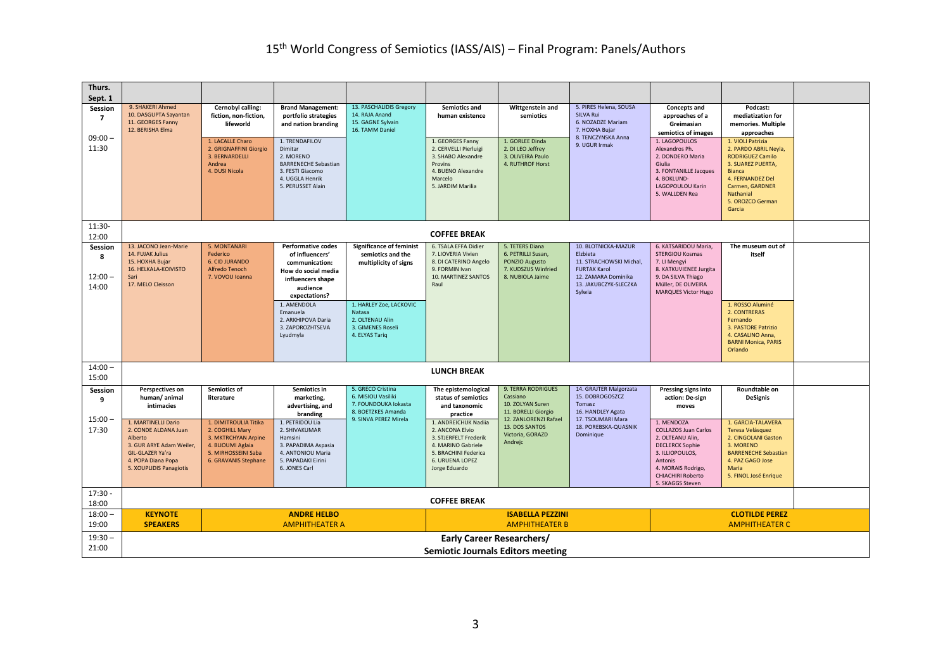| Thurs.<br>Sept. 1                  |                                                                                                                                                         |                                                                                                                                     |                                                                                                                                         |                                                                                                                |                                                                                                                                                    |                                                                                                    |                                                                                                                                             |                                                                                                                                                                                             |                                                                                                                                                                                               |  |
|------------------------------------|---------------------------------------------------------------------------------------------------------------------------------------------------------|-------------------------------------------------------------------------------------------------------------------------------------|-----------------------------------------------------------------------------------------------------------------------------------------|----------------------------------------------------------------------------------------------------------------|----------------------------------------------------------------------------------------------------------------------------------------------------|----------------------------------------------------------------------------------------------------|---------------------------------------------------------------------------------------------------------------------------------------------|---------------------------------------------------------------------------------------------------------------------------------------------------------------------------------------------|-----------------------------------------------------------------------------------------------------------------------------------------------------------------------------------------------|--|
| Session<br>$\overline{7}$          | 9. SHAKERI Ahmed<br>10. DASGUPTA Sayantan<br>11. GEORGES Fanny<br>12. BERISHA Elma                                                                      | Cernobyl calling:<br>fiction, non-fiction,<br>lifeworld                                                                             | <b>Brand Management:</b><br>portfolio strategies<br>and nation branding                                                                 | 13. PASCHALIDIS Gregory<br>14. RAJA Anand<br>15. GAGNE Sylvain<br>16. TAMM Daniel                              | Semiotics and<br>human existence                                                                                                                   | Wittgenstein and<br>semiotics                                                                      | 5. PIRES Helena, SOUSA<br><b>SILVA Rui</b><br>6. NOZADZE Mariam<br>7. HOXHA Bujar                                                           | <b>Concepts and</b><br>approaches of a<br>Greimasian<br>semiotics of images                                                                                                                 | Podcast:<br>mediatization for<br>memories. Multiple<br>approaches                                                                                                                             |  |
| $09:00 -$<br>11:30                 |                                                                                                                                                         | 1. LACALLE Charo<br>2. GRIGNAFFINI Giorgio<br>3. BERNARDELLI<br>Andrea<br>4. DUSI Nicola                                            | 1. TRENDAFILOV<br>Dimitar<br>2. MORENO<br><b>BARRENECHE Sebastian</b><br>3. FESTI Giacomo<br>4. UGGLA Henrik<br>5. PERUSSET Alain       |                                                                                                                | 1. GEORGES Fanny<br>2. CERVELLI Pierluigi<br>3. SHABO Alexandre<br>Provins<br>4. BUENO Alexandre<br>Marcelo<br>5. JARDIM Marilia                   | 1. GORLEE Dinda<br>2. DI LEO Jeffrey<br>3. OLIVEIRA Paulo<br>4. RUTHROF Horst                      | 8. TENCZYNSKA Anna<br>9. UGUR Irmak                                                                                                         | 1. LAGOPOULOS<br>Alexandros Ph.<br>2. DONDERO Maria<br>Giulia<br>3. FONTANILLE Jacques<br>4. BOKLUND-<br>LAGOPOULOU Karin<br>5. WALLDEN Rea                                                 | 1. VIOLI Patrizia<br>2. PARDO ABRIL Neyla,<br><b>RODRIGUEZ Camilo</b><br>3. SUAREZ PUERTA,<br><b>Bianca</b><br>4. FERNANDEZ Del<br>Carmen, GARDNER<br>Nathanial<br>5. OROZCO German<br>Garcia |  |
| 11:30-<br>12:00                    |                                                                                                                                                         |                                                                                                                                     |                                                                                                                                         |                                                                                                                | <b>COFFEE BREAK</b>                                                                                                                                |                                                                                                    |                                                                                                                                             |                                                                                                                                                                                             |                                                                                                                                                                                               |  |
| Session<br>8<br>$12:00 -$<br>14:00 | 13. JACONO Jean-Marie<br>14. FUJAK Julius<br>15. HOXHA Bujar<br>16. HELKALA-KOIVISTO<br>Sari<br>17. MELO Cleisson                                       | 5. MONTANARI<br>Federico<br><b>6. CID JURANDO</b><br>Alfredo Tenoch<br>7. VOVOU Ioanna                                              | <b>Performative codes</b><br>of influencers'<br>communication:<br>How do social media<br>influencers shape<br>audience<br>expectations? | <b>Significance of feminist</b><br>semiotics and the<br>multiplicity of signs                                  | 6. TSALA EFFA Didier<br>7. LIOVERIA Vivien<br>8. DI CATERINO Angelo<br>9. FORMIN Ivan<br>10. MARTINEZ SANTOS<br>Raul                               | 5. TETERS Diana<br>6. PETRILLI Susan,<br>PONZIO Augusto<br>7. KUDSZUS Winfried<br>8. NUBIOLA Jaime | 10. BLOTNICKA-MAZUR<br>Elzbieta<br>11. STRACHOWSKI Michal,<br><b>FURTAK Karol</b><br>12. ZAMARA Dominika<br>13. JAKUBCZYK-SLECZKA<br>Sylwia | 6. KATSARIDOU Maria,<br>STERGIOU Kosmas<br>7. LI Mengyi<br>8. KATKUVIENEE Jurgita<br>9. DA SILVA Thiago<br>Müller, DE OLIVEIRA<br><b>MARQUES Victor Hugo</b>                                | The museum out of<br>itself                                                                                                                                                                   |  |
|                                    |                                                                                                                                                         |                                                                                                                                     | 1. AMENDOLA<br>Emanuela<br>2. ARKHIPOVA Daria<br>3. ZAPOROZHTSEVA<br>Lyudmyla                                                           | 1. HARLEY Zoe, LACKOVIC<br>Natasa<br>2. OLTENAU Alin<br>3. GIMENES Roseli<br>4. ELYAS Tariq                    |                                                                                                                                                    |                                                                                                    |                                                                                                                                             |                                                                                                                                                                                             | 1. ROSSO Aluminé<br>2. CONTRERAS<br>Fernando<br>3. PASTORE Patrizio<br>4. CASALINO Anna,<br><b>BARNI Monica, PARIS</b><br>Orlando                                                             |  |
| $14:00 -$<br>15:00                 |                                                                                                                                                         |                                                                                                                                     |                                                                                                                                         |                                                                                                                | <b>LUNCH BREAK</b>                                                                                                                                 |                                                                                                    |                                                                                                                                             |                                                                                                                                                                                             |                                                                                                                                                                                               |  |
| Session<br>9<br>$15:00 -$          | Perspectives on<br>human/animal<br>intimacies                                                                                                           | Semiotics of<br>literature                                                                                                          | Semiotics in<br>marketing,<br>advertising, and<br>branding                                                                              | 5. GRECO Cristina<br>6. MISIOU Vasiliki<br>7. FOUNDOUKA lokasta<br>8. BOETZKES Amanda<br>9. SINVA PEREZ Mirela | The epistemological<br>status of semiotics<br>and taxonomic<br>practice                                                                            | 9. TERRA RODRIGUES<br>Cassiano<br>10. ZOLYAN Suren<br>11. BORELLI Giorgio<br>12. ZANLORENZI Rafael | 14. GRAJTER Malgorzata<br>15. DOBROGOSZCZ<br>Tomasz<br>16. HANDLEY Agata<br>17. TSOUMARI Mara                                               | Pressing signs into<br>action: De-sign<br>moves                                                                                                                                             | Roundtable on<br><b>DeSignis</b>                                                                                                                                                              |  |
| 17:30                              | 1. MARTINELLI Dario<br>2. CONDE ALDANA Juan<br>Alberto<br>3. GUR ARYE Adam Weiler,<br>GIL-GLAZER Ya'ra<br>4. POPA Diana Popa<br>5. XOUPLIDIS Panagiotis | 1. DIMITROULIA Titika<br>2. COGHILL Mary<br>3. MKTRCHYAN Arpine<br>4. BLIOUMI Aglaia<br>5. MIRHOSSEINI Saba<br>6. GRAVANIS Stephane | 1. PETRIDOU Lia<br>2. SHIVAKUMAR<br>Hamsini<br>3. PAPADIMA Aspasia<br>4. ANTONIOU Maria<br>5. PAPADAKI Eirini<br>6. JONES Carl          |                                                                                                                | 1. ANDREICHUK Nadiia<br>2. ANCONA Elvio<br>3. STJERFELT Frederik<br>4. MARINO Gabriele<br>5. BRACHINI Federica<br>6. URUENA LOPEZ<br>Jorge Eduardo | 13. DOS SANTOS<br>Victoria, GORAZD<br>Andrejc                                                      | 18. POREBSKA-QUASNIK<br>Dominique                                                                                                           | 1. MENDOZA<br><b>COLLAZOS Juan Carlos</b><br>2. OLTEANU Alin,<br><b>DECLERCK Sophie</b><br>3. ILLIOPOULOS,<br>Antonis<br>4. MORAIS Rodrigo,<br><b>CHIACHIRI Roberto</b><br>5. SKAGGS Steven | 1. GARCIA-TALAVERA<br>Teresa Velásquez<br>2. CINGOLANI Gaston<br>3. MORENO<br><b>BARRENECHE Sebastian</b><br>4. PAZ GAGO Jose<br><b>Maria</b><br>5. FINOL José Enrique                        |  |
| 17:30.<br>18:00                    |                                                                                                                                                         |                                                                                                                                     |                                                                                                                                         |                                                                                                                | <b>COFFEE BREAK</b>                                                                                                                                |                                                                                                    |                                                                                                                                             |                                                                                                                                                                                             |                                                                                                                                                                                               |  |
| $18:00 -$<br>19:00                 | <b>KEYNOTE</b><br><b>SPEAKERS</b>                                                                                                                       |                                                                                                                                     | <b>ANDRE HELBO</b><br><b>AMPHITHEATER A</b>                                                                                             |                                                                                                                | <b>ISABELLA PEZZINI</b><br><b>AMPHITHEATER B</b>                                                                                                   |                                                                                                    |                                                                                                                                             |                                                                                                                                                                                             | <b>CLOTILDE PEREZ</b><br><b>AMPHITHEATER C</b>                                                                                                                                                |  |
| $19:30 -$                          |                                                                                                                                                         |                                                                                                                                     |                                                                                                                                         |                                                                                                                | <b>Early Career Researchers/</b>                                                                                                                   |                                                                                                    |                                                                                                                                             |                                                                                                                                                                                             |                                                                                                                                                                                               |  |
| 21:00                              | <b>Semiotic Journals Editors meeting</b>                                                                                                                |                                                                                                                                     |                                                                                                                                         |                                                                                                                |                                                                                                                                                    |                                                                                                    |                                                                                                                                             |                                                                                                                                                                                             |                                                                                                                                                                                               |  |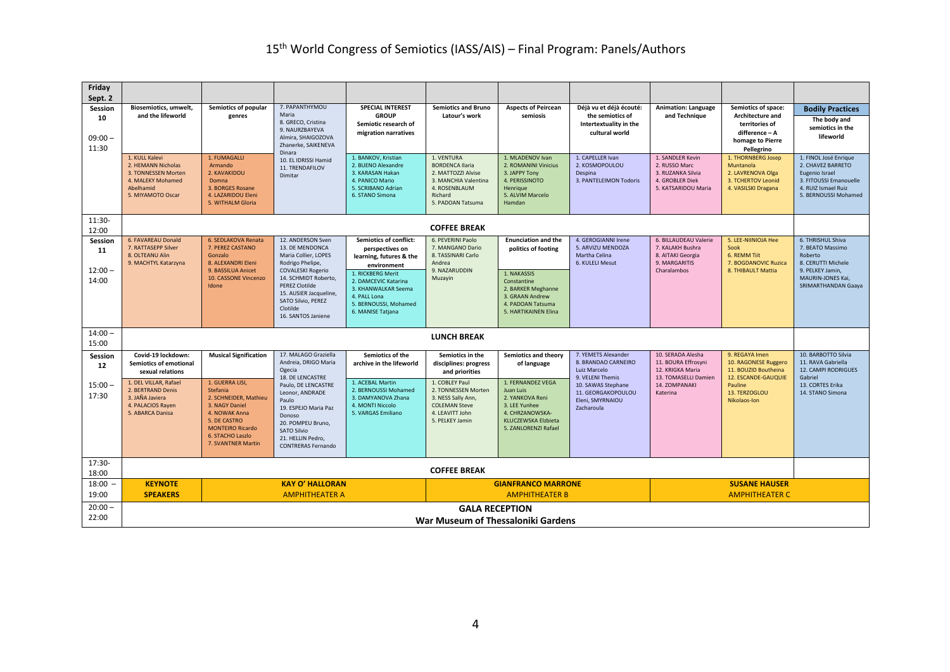| Friday<br>Sept. 2                   |                                                                                                                    |                                                                                                                                                                              |                                                                                                                                                                                |                                                                                                                                |                                                                                                                                     |                                                                                                                                      |                                                                                         |                                                                                                  |                                                                                                               |                                                                                                                                       |  |
|-------------------------------------|--------------------------------------------------------------------------------------------------------------------|------------------------------------------------------------------------------------------------------------------------------------------------------------------------------|--------------------------------------------------------------------------------------------------------------------------------------------------------------------------------|--------------------------------------------------------------------------------------------------------------------------------|-------------------------------------------------------------------------------------------------------------------------------------|--------------------------------------------------------------------------------------------------------------------------------------|-----------------------------------------------------------------------------------------|--------------------------------------------------------------------------------------------------|---------------------------------------------------------------------------------------------------------------|---------------------------------------------------------------------------------------------------------------------------------------|--|
| Session<br>10<br>$09:00 -$<br>11:30 | Biosemiotics, umwelt,<br>and the lifeworld                                                                         | Semiotics of popular<br>genres                                                                                                                                               | 7. PAPANTHYMOU<br>Maria<br>8. GRECO, Cristina<br>9. NAURZBAYEVA<br>Almira, SHAIGOZOVA<br>Zhanerke, SAIKENEVA<br>Dinara<br>10. EL IDRISSI Hamid<br>11. TRENDAFILOV<br>Dimitar   | <b>SPECIAL INTEREST</b><br><b>GROUP</b><br>Semiotic research of<br>migration narratives                                        | <b>Semiotics and Bruno</b><br>Latour's work                                                                                         | <b>Aspects of Peircean</b><br>semiosis                                                                                               | Déjà vu et déjà écouté:<br>the semiotics of<br>Intertextuality in the<br>cultural world | <b>Animation: Language</b><br>and Technique                                                      | Semiotics of space:<br>Architecture and<br>territories of<br>difference - A<br>homage to Pierre<br>Pellegrino | <b>Bodily Practices</b><br>The body and<br>semiotics in the<br>lifeworld                                                              |  |
|                                     | 1. KULL Kalevi<br>2. HEMANN Nicholas<br>3. TONNESSEN Morten<br>4. MALEKY Mohamed<br>Abelhamid<br>5. MIYAMOTO Oscar | 1. FUMAGALLI<br>Armando<br>2. KAVAKIDOU<br>Domna<br>3. BORGES Rosane<br>4. LAZARIDOU Eleni<br>5. WITHALM Gloria                                                              |                                                                                                                                                                                | 1. BANKOV, Kristian<br>2. BUENO Alexandre<br>3. KARASAN Hakan<br>4. PANICO Mario<br>5. SCRIBANO Adrian<br>6. STANO Simona      | 1. VENTURA<br><b>BORDENCA Ilaria</b><br>2. MATTOZZI Alvise<br>3. MANCHIA Valentina<br>4. ROSENBLAUM<br>Richard<br>5. PADOAN Tatsuma | 1. MLADENOV Ivan<br>2. ROMANINI Vinicius<br>3. JAPPY Tony<br>4. PERISSINOTO<br>Henrique<br>5. ALVIM Marcelo<br><b>Hamdan</b>         | 1. CAPELLER Ivan<br>2. KOSMOPOULOU<br>Despina<br>3. PANTELEIMON Todoris                 | 1. SANDLER Kevin<br>2. RUSSO Marc<br>3. RUZANKA Silvia<br>4. GROBLER Diek<br>5. KATSARIDOU Maria | 1. THORNBERG Josep<br>Muntanola<br>2. LAVRENOVA Olga<br>3. TCHERTOV Leonid<br>4. VASILSKI Dragana             | 1. FINOL José Enrique<br>2. CHAVEZ BARRETO<br>Eugenio Israel<br>3. FITOUSSI Emanouelle<br>4. RUIZ Ismael Ruiz<br>5. BERNOUSSI Mohamed |  |
| 11:30-<br>12:00                     |                                                                                                                    |                                                                                                                                                                              |                                                                                                                                                                                |                                                                                                                                | <b>COFFEE BREAK</b>                                                                                                                 |                                                                                                                                      |                                                                                         |                                                                                                  |                                                                                                               |                                                                                                                                       |  |
| Session<br>11                       | 6. FAVAREAU Donald<br>7. RATTASEPP Silver<br>8. OLTEANU Alin<br>9. MACHTYL Katarzyna                               | 6. SEDLAKOVA Renata<br>7. PEREZ CASTANO<br>Gonzalo<br>8. ALEXANDRI Eleni                                                                                                     | 12. ANDERSON Sven<br>13. DE MENDONCA<br>Maria Collier, LOPES<br>Rodrigo Phelipe,                                                                                               | Semiotics of conflict:<br>perspectives on<br>learning, futures & the<br>environment                                            | 6. PEVERINI Paolo<br>7. MANGANO Dario<br>8. TASSINARI Carlo<br>Andrea                                                               | <b>Enunciation and the</b><br>politics of footing                                                                                    | 4. GEROGIANNI Irene<br>5. ARVIZU MENDOZA<br>Martha Celina<br>6. KULELI Mesut            | 6. BILLAUDEAU Valerie<br>7. KALAKH Bushra<br>8. AITAKI Georgia<br>9. MARGARITIS                  | 5. LEE-NIINIOJA Hee<br>Sook<br>6. REMM Tiit<br>7. BOGDANOVIC Ruzica                                           | 6. THRISHUL Shiva<br>7. BEATO Massimo<br>Roberto<br>8. CERUTTI Michele                                                                |  |
| $12:00 -$<br>14:00                  |                                                                                                                    | 9. BASSILUA Anicet<br>10. CASSONE Vincenzo<br>Idone                                                                                                                          | <b>COVALESKI Rogerio</b><br>14. SCHMIDT Roberto.<br><b>PEREZ Clotilde</b><br>15. AUSIER Jacqueline,<br>SATO Silvio, PEREZ<br>Clotilde<br>16. SANTOS Janiene                    | 1. RICKBERG Merit<br>2. DAMCEVIC Katarina<br>3. KHANWALKAR Seema<br>4. PALL Lona<br>5. BERNOUSSI, Mohamed<br>6. MANISE Tatjana | 9. NAZARUDDIN<br>Muzayin                                                                                                            | 1. NAKASSIS<br>Constantine<br>2. BARKER Meghanne<br>3. GRAAN Andrew<br>4. PADOAN Tatsuma<br>5. HARTIKAINEN Elina                     |                                                                                         | Charalambos                                                                                      | 8. THIBAULT Mattia                                                                                            | 9. PELKEY Jamin,<br>MAURIN-JONES Kai,<br>SRIMARTHANDAN Gaaya                                                                          |  |
| $14:00 -$<br>15:00                  |                                                                                                                    |                                                                                                                                                                              |                                                                                                                                                                                |                                                                                                                                | <b>LUNCH BREAK</b>                                                                                                                  |                                                                                                                                      |                                                                                         |                                                                                                  |                                                                                                               |                                                                                                                                       |  |
| Session<br>12                       | Covid-19 lockdown:<br><b>Semiotics of emotional</b><br>sexual relations                                            | <b>Musical Signification</b>                                                                                                                                                 | 17. MALAGO Graziella<br>Andreia, DRIGO Maria<br>Ogecia<br>18. DE LENCASTRE                                                                                                     | Semiotics of the<br>archive in the lifeworld                                                                                   | Semiotics in the<br>disciplines: progress<br>and priorities                                                                         | Semiotics and theory<br>of language                                                                                                  | 7. YEMETS Alexander<br>8. BRANDAO CARNEIRO<br>Luiz Marcelo<br>9. VELENI Themis          | 10. SERADA Alesha<br>11. BOURA Effrosyni<br>12. KRIGKA Maria<br>13. TOMASELLI Damien             | 9. REGAYA Imen<br>10. RAGONESE Ruggero<br>11. BOUZID Boutheina<br>12. ESCANDE-GAUQUIE                         | 10. BARBOTTO Silvia<br>11. RAVA Gabriella<br><b>12. CAMPI RODRIGUES</b><br>Gabriel                                                    |  |
| $15:00 -$<br>17:30                  | 1. DEL VILLAR, Rafael<br>2. BERTRAND Denis<br>3. JAÑA Javiera<br>4. PALACIOS Rayen<br>5. ABARCA Danisa             | 1. GUERRA LISI.<br>Stefania<br>2. SCHNEIDER, Mathieu<br>3. NAGY Daniel<br>4. NOWAK Anna<br>5. DE CASTRO<br><b>MONTEIRO Ricardo</b><br>6. STACHO Laszlo<br>7. SVANTNER Martin | Paulo, DE LENCASTRE<br>Leonor, ANDRADE<br>Paulo<br>19. ESPEJO Maria Paz<br>Donoso<br>20. POMPEU Bruno,<br><b>SATO Silvio</b><br>21. HELLIN Pedro,<br><b>CONTRERAS Fernando</b> | 1. ACEBAL Martin<br>2. BERNOUSSI Mohamed<br>3. DAMYANOVA Zhana<br>4. MONTI Niccolo<br>5. VARGAS Emiliano                       | 1. COBLEY Paul<br>2. TONNESSEN Morten<br>3. NESS Sally Ann,<br><b>COLEMAN Steve</b><br>4. LEAVITT John<br>5. PELKEY Jamin           | 1. FERNANDEZ VEGA<br>Juan Luis<br>2. YANKOVA Reni<br>3. LEE Yunhee<br>4. CHRZANOWSKA-<br>KLUCZEWSKA Elzbieta<br>5. ZANLORENZI Rafael | 10. SAWAS Stephane<br>11. GEORGAKOPOULOU<br>Eleni, SMYRNAIOU<br>Zacharoula              | 14. ZOMPANAKI<br>Katerina                                                                        | <b>Pauline</b><br>13. TERZOGLOU<br>Nikolaos-Ion                                                               | 13. CORTES Erika<br>14. STANO Simona                                                                                                  |  |
| 17:30-<br>18:00                     |                                                                                                                    |                                                                                                                                                                              |                                                                                                                                                                                |                                                                                                                                | <b>COFFEE BREAK</b>                                                                                                                 |                                                                                                                                      |                                                                                         |                                                                                                  |                                                                                                               |                                                                                                                                       |  |
| 18:00<br>19:00                      | <b>KEYNOTE</b><br><b>SPEAKERS</b>                                                                                  | <b>KAY O' HALLORAN</b><br><b>AMPHITHEATER A</b>                                                                                                                              |                                                                                                                                                                                |                                                                                                                                |                                                                                                                                     | <b>GIANFRANCO MARRONE</b><br><b>AMPHITHEATER B</b>                                                                                   |                                                                                         |                                                                                                  | <b>SUSANE HAUSER</b><br><b>AMPHITHEATER C</b>                                                                 |                                                                                                                                       |  |
| $20:00 -$                           |                                                                                                                    |                                                                                                                                                                              |                                                                                                                                                                                |                                                                                                                                | <b>GALA RECEPTION</b>                                                                                                               |                                                                                                                                      |                                                                                         |                                                                                                  |                                                                                                               |                                                                                                                                       |  |
| 22:00                               | War Museum of Thessaloniki Gardens                                                                                 |                                                                                                                                                                              |                                                                                                                                                                                |                                                                                                                                |                                                                                                                                     |                                                                                                                                      |                                                                                         |                                                                                                  |                                                                                                               |                                                                                                                                       |  |